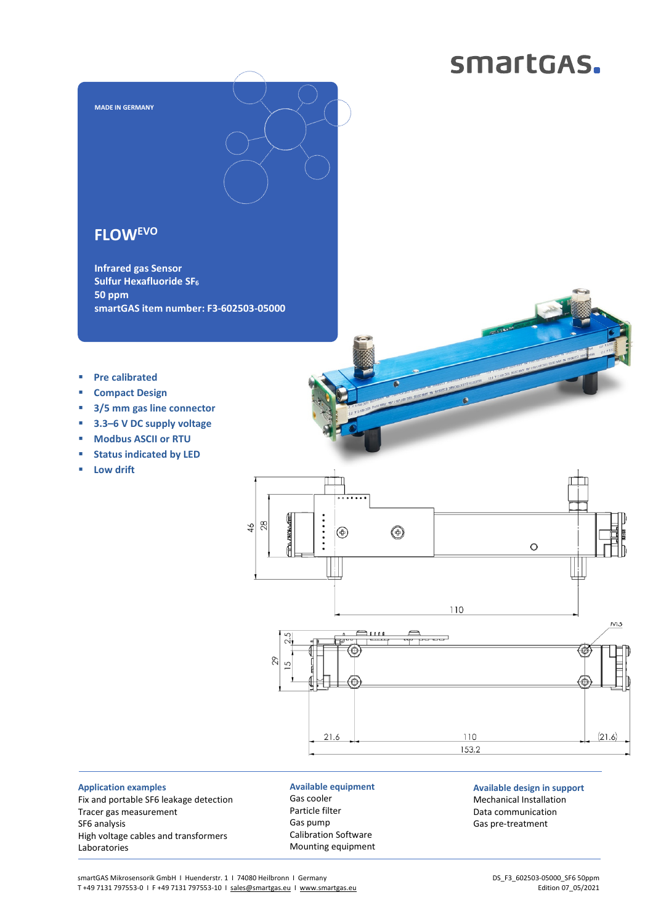## smartGAS.



## **FLOWEVO**

**MADE IN GERMANY** 

**Infrared gas Sensor Sulfur Hexafluoride SF<sup>6</sup> 50 ppm smartGAS item number: F3-602503-05000** 

- **Pre calibrated**
- **Compact Design**
- **3/5 mm gas line connector**
- **3.3–6 V DC supply voltage**
- **Modbus ASCII or RTU**
- **status indicated by LED**
- **Low drift**

 $\vdots$ **MADA-LOTE**  $rac{46}{28}$  $\circledast$  $\circledast$  $\circ$ 110 M3 2.5 @) 29 5 21.6 110  $(21.6)$ 153,2

**Application examples**  Fix and portable SF6 leakage detection Tracer gas measurement SF6 analysis High voltage cables and transformers Laboratories

**Available equipment**  Gas cooler Particle filter Gas pump Calibration Software Mounting equipment **Available design in support**  Mechanical Installation Data communication Gas pre-treatment

smartGAS Mikrosensorik GmbH | Huenderstr. 1 | 74080 Heilbronn | Germany T +49 7131 797553-0 I F +49 7131 797553-10 I sales@smartgas.eu I www.smartgas.eu